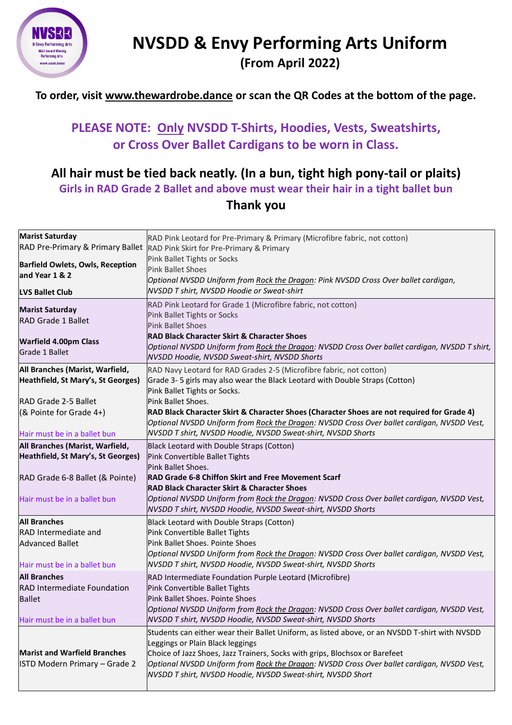

## **NVSDD & Envy Performing Arts Uniform (From April 2022)**

#### **To order, visit [www.thewardrobe.dance](http://www.thewardrobe.dance/) or scan the QR Codes at the bottom of the page.**

## **PLEASE NOTE: Only NVSDD T-Shirts, Hoodies, Vests, Sweatshirts, or Cross Over Ballet Cardigans to be worn in Class.**

#### **All hair must be tied back neatly. (In a bun, tight high pony-tail or plaits) Girls in RAD Grade 2 Ballet and above must wear their hair in a tight ballet bun Thank you**

| <b>Marist Saturday</b><br>RAD Pre-Primary & Primary Ballet            | RAD Pink Leotard for Pre-Primary & Primary (Microfibre fabric, not cotton)<br>RAD Pink Skirt for Pre-Primary & Primary                                                                                                                                                                                                                                                         |
|-----------------------------------------------------------------------|--------------------------------------------------------------------------------------------------------------------------------------------------------------------------------------------------------------------------------------------------------------------------------------------------------------------------------------------------------------------------------|
| <b>Barfield Owlets, Owls, Reception</b><br>and Year 1 & 2             | Pink Ballet Tights or Socks<br><b>Pink Ballet Shoes</b><br>Optional NVSDD Uniform from Rock the Dragon: Pink NVSDD Cross Over ballet cardigan,                                                                                                                                                                                                                                 |
| <b>LVS Ballet Club</b>                                                | <b>NVSDD T shirt, NVSDD Hoodie or Sweat-shirt</b>                                                                                                                                                                                                                                                                                                                              |
| <b>Marist Saturday</b><br><b>RAD Grade 1 Ballet</b>                   | RAD Pink Leotard for Grade 1 (Microfibre fabric, not cotton)<br>Pink Ballet Tights or Socks<br><b>Pink Ballet Shoes</b>                                                                                                                                                                                                                                                        |
| <b>Warfield 4.00pm Class</b><br><b>Grade 1 Ballet</b>                 | <b>RAD Black Character Skirt &amp; Character Shoes</b><br>Optional NVSDD Uniform from Rock the Dragon: NVSDD Cross Over ballet cardigan, NVSDD T shirt,<br>NVSDD Hoodie, NVSDD Sweat-shirt, NVSDD Shorts                                                                                                                                                                       |
| All Branches (Marist, Warfield,<br>Heathfield, St Mary's, St Georges) | RAD Navy Leotard for RAD Grades 2-5 (Microfibre fabric, not cotton)<br>Grade 3-5 girls may also wear the Black Leotard with Double Straps (Cotton)<br>Pink Ballet Tights or Socks.                                                                                                                                                                                             |
| RAD Grade 2-5 Ballet                                                  | Pink Ballet Shoes.                                                                                                                                                                                                                                                                                                                                                             |
| (& Pointe for Grade 4+)                                               | RAD Black Character Skirt & Character Shoes (Character Shoes are not required for Grade 4)<br>Optional NVSDD Uniform from Rock the Dragon: NVSDD Cross Over ballet cardigan, NVSDD Vest,                                                                                                                                                                                       |
| Hair must be in a ballet bun                                          | NVSDD T shirt, NVSDD Hoodie, NVSDD Sweat-shirt, NVSDD Shorts                                                                                                                                                                                                                                                                                                                   |
| All Branches (Marist, Warfield,<br>Heathfield, St Mary's, St Georges) | Black Leotard with Double Straps (Cotton)<br>Pink Convertible Ballet Tights<br>Pink Ballet Shoes.                                                                                                                                                                                                                                                                              |
| RAD Grade 6-8 Ballet (& Pointe)                                       | <b>RAD Grade 6-8 Chiffon Skirt and Free Movement Scarf</b><br><b>RAD Black Character Skirt &amp; Character Shoes</b>                                                                                                                                                                                                                                                           |
| Hair must be in a ballet bun                                          | Optional NVSDD Uniform from Rock the Dragon: NVSDD Cross Over ballet cardigan, NVSDD Vest,<br>NVSDD T shirt, NVSDD Hoodie, NVSDD Sweat-shirt, NVSDD Shorts                                                                                                                                                                                                                     |
| <b>All Branches</b>                                                   | Black Leotard with Double Straps (Cotton)                                                                                                                                                                                                                                                                                                                                      |
| <b>RAD</b> Intermediate and                                           | Pink Convertible Ballet Tights                                                                                                                                                                                                                                                                                                                                                 |
| <b>Advanced Ballet</b>                                                | Pink Ballet Shoes. Pointe Shoes                                                                                                                                                                                                                                                                                                                                                |
| Hair must be in a ballet bun                                          | Optional NVSDD Uniform from Rock the Dragon: NVSDD Cross Over ballet cardigan, NVSDD Vest,<br>NVSDD T shirt, NVSDD Hoodie, NVSDD Sweat-shirt, NVSDD Shorts                                                                                                                                                                                                                     |
| <b>All Branches</b>                                                   | RAD Intermediate Foundation Purple Leotard (Microfibre)                                                                                                                                                                                                                                                                                                                        |
| <b>RAD Intermediate Foundation</b>                                    | Pink Convertible Ballet Tights                                                                                                                                                                                                                                                                                                                                                 |
| <b>Ballet</b>                                                         | Pink Ballet Shoes. Pointe Shoes                                                                                                                                                                                                                                                                                                                                                |
| Hair must be in a ballet bun                                          | Optional NVSDD Uniform from Rock the Dragon: NVSDD Cross Over ballet cardigan, NVSDD Vest,<br>NVSDD T shirt, NVSDD Hoodie, NVSDD Sweat-shirt, NVSDD Shorts                                                                                                                                                                                                                     |
| <b>Marist and Warfield Branches</b><br>ISTD Modern Primary - Grade 2  | Students can either wear their Ballet Uniform, as listed above, or an NVSDD T-shirt with NVSDD<br>Leggings or Plain Black leggings<br>Choice of Jazz Shoes, Jazz Trainers, Socks with grips, Blochsox or Barefeet<br>Optional NVSDD Uniform from Rock the Dragon: NVSDD Cross Over ballet cardigan, NVSDD Vest,<br>NVSDD T shirt, NVSDD Hoodie, NVSDD Sweat-shirt, NVSDD Short |